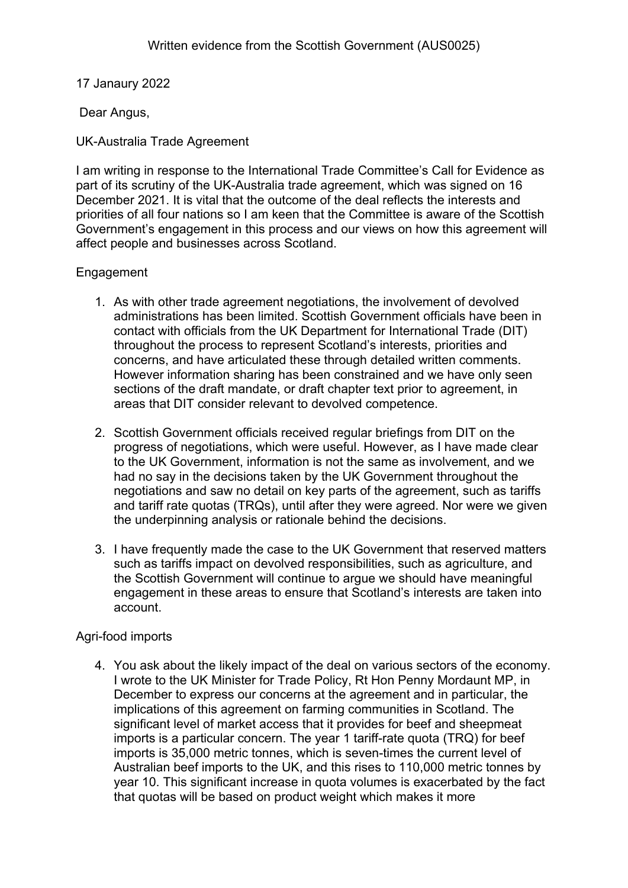17 Janaury 2022

Dear Angus,

UK-Australia Trade Agreement

I am writing in response to the International Trade Committee's Call for Evidence as part of its scrutiny of the UK-Australia trade agreement, which was signed on 16 December 2021. It is vital that the outcome of the deal reflects the interests and priorities of all four nations so I am keen that the Committee is aware of the Scottish Government's engagement in this process and our views on how this agreement will affect people and businesses across Scotland.

## **Engagement**

- 1. As with other trade agreement negotiations, the involvement of devolved administrations has been limited. Scottish Government officials have been in contact with officials from the UK Department for International Trade (DIT) throughout the process to represent Scotland's interests, priorities and concerns, and have articulated these through detailed written comments. However information sharing has been constrained and we have only seen sections of the draft mandate, or draft chapter text prior to agreement, in areas that DIT consider relevant to devolved competence.
- 2. Scottish Government officials received regular briefings from DIT on the progress of negotiations, which were useful. However, as I have made clear to the UK Government, information is not the same as involvement, and we had no say in the decisions taken by the UK Government throughout the negotiations and saw no detail on key parts of the agreement, such as tariffs and tariff rate quotas (TRQs), until after they were agreed. Nor were we given the underpinning analysis or rationale behind the decisions.
- 3. I have frequently made the case to the UK Government that reserved matters such as tariffs impact on devolved responsibilities, such as agriculture, and the Scottish Government will continue to argue we should have meaningful engagement in these areas to ensure that Scotland's interests are taken into account.

# Agri-food imports

4. You ask about the likely impact of the deal on various sectors of the economy. I wrote to the UK Minister for Trade Policy, Rt Hon Penny Mordaunt MP, in December to express our concerns at the agreement and in particular, the implications of this agreement on farming communities in Scotland. The significant level of market access that it provides for beef and sheepmeat imports is a particular concern. The year 1 tariff-rate quota (TRQ) for beef imports is 35,000 metric tonnes, which is seven-times the current level of Australian beef imports to the UK, and this rises to 110,000 metric tonnes by year 10. This significant increase in quota volumes is exacerbated by the fact that quotas will be based on product weight which makes it more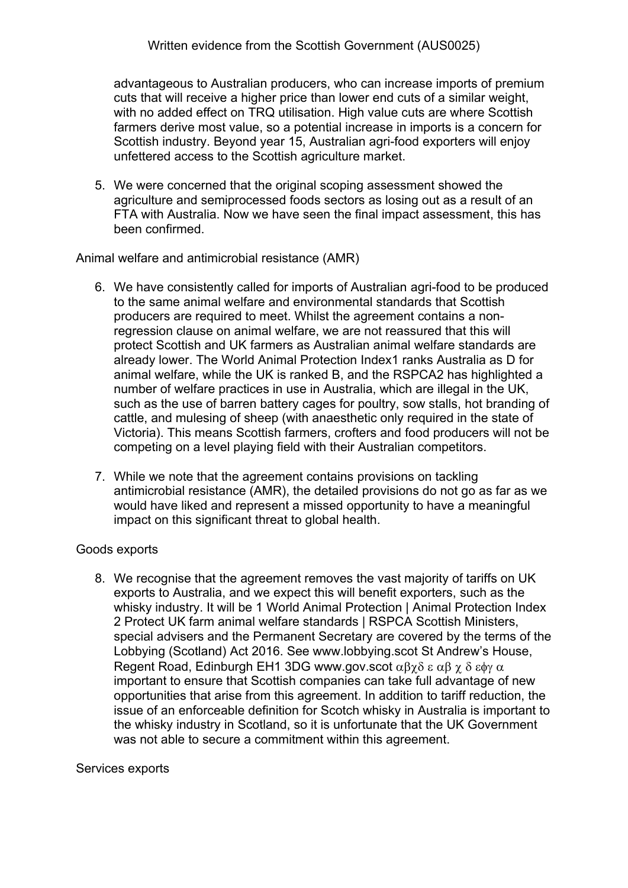advantageous to Australian producers, who can increase imports of premium cuts that will receive a higher price than lower end cuts of a similar weight, with no added effect on TRQ utilisation. High value cuts are where Scottish farmers derive most value, so a potential increase in imports is a concern for Scottish industry. Beyond year 15, Australian agri-food exporters will enjoy unfettered access to the Scottish agriculture market.

5. We were concerned that the original scoping assessment showed the agriculture and semiprocessed foods sectors as losing out as a result of an FTA with Australia. Now we have seen the final impact assessment, this has been confirmed.

Animal welfare and antimicrobial resistance (AMR)

- 6. We have consistently called for imports of Australian agri-food to be produced to the same animal welfare and environmental standards that Scottish producers are required to meet. Whilst the agreement contains a nonregression clause on animal welfare, we are not reassured that this will protect Scottish and UK farmers as Australian animal welfare standards are already lower. The World Animal Protection Index1 ranks Australia as D for animal welfare, while the UK is ranked B, and the RSPCA2 has highlighted a number of welfare practices in use in Australia, which are illegal in the UK, such as the use of barren battery cages for poultry, sow stalls, hot branding of cattle, and mulesing of sheep (with anaesthetic only required in the state of Victoria). This means Scottish farmers, crofters and food producers will not be competing on a level playing field with their Australian competitors.
- 7. While we note that the agreement contains provisions on tackling antimicrobial resistance (AMR), the detailed provisions do not go as far as we would have liked and represent a missed opportunity to have a meaningful impact on this significant threat to global health.

### Goods exports

8. We recognise that the agreement removes the vast majority of tariffs on UK exports to Australia, and we expect this will benefit exporters, such as the whisky industry. It will be 1 World Animal Protection | Animal Protection Index 2 Protect UK farm animal welfare standards | RSPCA Scottish Ministers, special advisers and the Permanent Secretary are covered by the terms of the Lobbying (Scotland) Act 2016. See www.lobbying.scot St Andrew's House, Regent Road, Edinburgh EH1 3DG www.gov.scot  $\alpha\beta\gamma\delta\epsilon\alpha\beta\gamma\delta\epsilon\phi\gamma\alpha$ important to ensure that Scottish companies can take full advantage of new opportunities that arise from this agreement. In addition to tariff reduction, the issue of an enforceable definition for Scotch whisky in Australia is important to the whisky industry in Scotland, so it is unfortunate that the UK Government was not able to secure a commitment within this agreement.

### Services exports